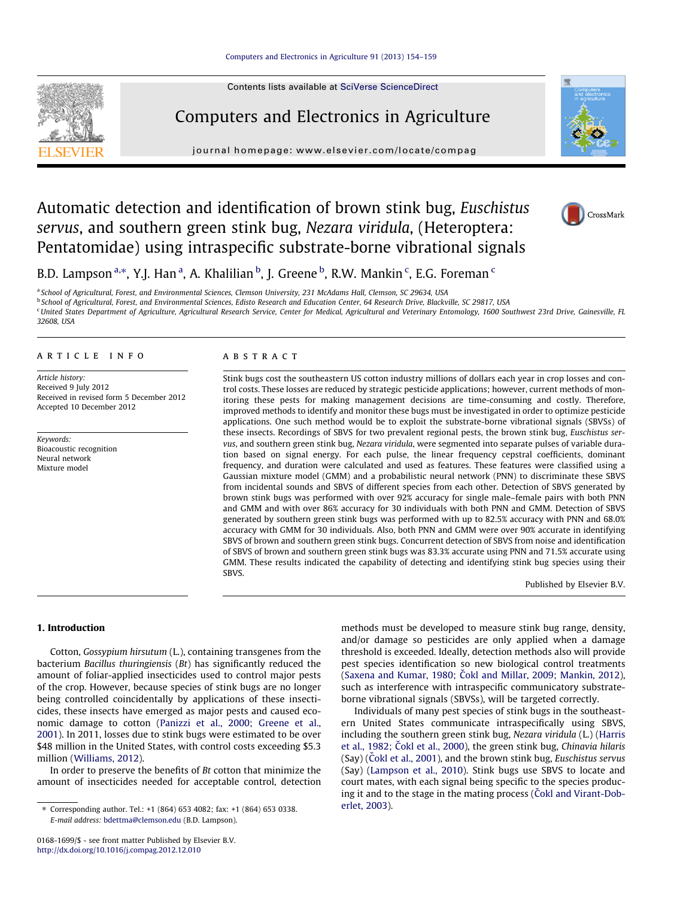Contents lists available at [SciVerse ScienceDirect](http://www.sciencedirect.com/science/journal/01681699)



## Computers and Electronics in Agriculture

journal homepage: [www.elsevier.com/locate/compag](http://www.elsevier.com/locate/compag)



# Automatic detection and identification of brown stink bug, Euschistus servus, and southern green stink bug, Nezara viridula, (Heteroptera: Pentatomidae) using intraspecific substrate-borne vibrational signals



## B.D. Lampson <sup>a,\*</sup>, Y.J. Han <sup>a</sup>, A. Khalilian <sup>b</sup>, J. Greene <sup>b</sup>, R.W. Mankin <sup>c</sup>, E.G. Foreman <sup>c</sup>

a School of Agricultural, Forest, and Environmental Sciences, Clemson University, 231 McAdams Hall, Clemson, SC 29634, USA

<sup>b</sup> School of Agricultural, Forest, and Environmental Sciences, Edisto Research and Education Center, 64 Research Drive, Blackville, SC 29817, USA

<sup>c</sup>United States Department of Agriculture, Agricultural Research Service, Center for Medical, Agricultural and Veterinary Entomology, 1600 Southwest 23rd Drive, Gainesville, FL 32608, USA

article info

Article history: Received 9 July 2012 Received in revised form 5 December 2012 Accepted 10 December 2012

Keywords: Bioacoustic recognition Neural network Mixture model

## ABSTRACT

Stink bugs cost the southeastern US cotton industry millions of dollars each year in crop losses and control costs. These losses are reduced by strategic pesticide applications; however, current methods of monitoring these pests for making management decisions are time-consuming and costly. Therefore, improved methods to identify and monitor these bugs must be investigated in order to optimize pesticide applications. One such method would be to exploit the substrate-borne vibrational signals (SBVSs) of these insects. Recordings of SBVS for two prevalent regional pests, the brown stink bug, Euschistus servus, and southern green stink bug, Nezara viridula, were segmented into separate pulses of variable duration based on signal energy. For each pulse, the linear frequency cepstral coefficients, dominant frequency, and duration were calculated and used as features. These features were classified using a Gaussian mixture model (GMM) and a probabilistic neural network (PNN) to discriminate these SBVS from incidental sounds and SBVS of different species from each other. Detection of SBVS generated by brown stink bugs was performed with over 92% accuracy for single male–female pairs with both PNN and GMM and with over 86% accuracy for 30 individuals with both PNN and GMM. Detection of SBVS generated by southern green stink bugs was performed with up to 82.5% accuracy with PNN and 68.0% accuracy with GMM for 30 individuals. Also, both PNN and GMM were over 90% accurate in identifying SBVS of brown and southern green stink bugs. Concurrent detection of SBVS from noise and identification of SBVS of brown and southern green stink bugs was 83.3% accurate using PNN and 71.5% accurate using GMM. These results indicated the capability of detecting and identifying stink bug species using their SBVS.

Published by Elsevier B.V.

## 1. Introduction

Cotton, Gossypium hirsutum (L.), containing transgenes from the bacterium Bacillus thuringiensis (Bt) has significantly reduced the amount of foliar-applied insecticides used to control major pests of the crop. However, because species of stink bugs are no longer being controlled coincidentally by applications of these insecticides, these insects have emerged as major pests and caused economic damage to cotton [\(Panizzi et al., 2000; Greene et al.,](#page-5-0) [2001\)](#page-5-0). In 2011, losses due to stink bugs were estimated to be over \$48 million in the United States, with control costs exceeding \$5.3 million [\(Williams, 2012\)](#page-5-0).

In order to preserve the benefits of Bt cotton that minimize the amount of insecticides needed for acceptable control, detection

0168-1699/\$ - see front matter Published by Elsevier B.V. <http://dx.doi.org/10.1016/j.compag.2012.12.010>

methods must be developed to measure stink bug range, density, and/or damage so pesticides are only applied when a damage threshold is exceeded. Ideally, detection methods also will provide pest species identification so new biological control treatments (Saxena and Kumar, 1980; Cokl and Millar, 2009; Mankin, 2012), such as interference with intraspecific communicatory substrateborne vibrational signals (SBVSs), will be targeted correctly.

Individuals of many pest species of stink bugs in the southeastern United States communicate intraspecifically using SBVS, including the southern green stink bug, Nezara viridula (L.) ([Harris](#page-5-0) et al., 1982; Cokl et al., 2000), the green stink bug, Chinavia hilaris  $(Say)$  (Cokl et al., 2001), and the brown stink bug, Euschistus servus (Say) [\(Lampson et al., 2010](#page-5-0)). Stink bugs use SBVS to locate and court mates, with each signal being specific to the species producing it and to the stage in the mating process (Cokl and Virant-Dob[erlet, 2003](#page-5-0)).

<sup>⇑</sup> Corresponding author. Tel.: +1 (864) 653 4082; fax: +1 (864) 653 0338. E-mail address: [bdettma@clemson.edu](mailto:bdettma@clemson.edu) (B.D. Lampson).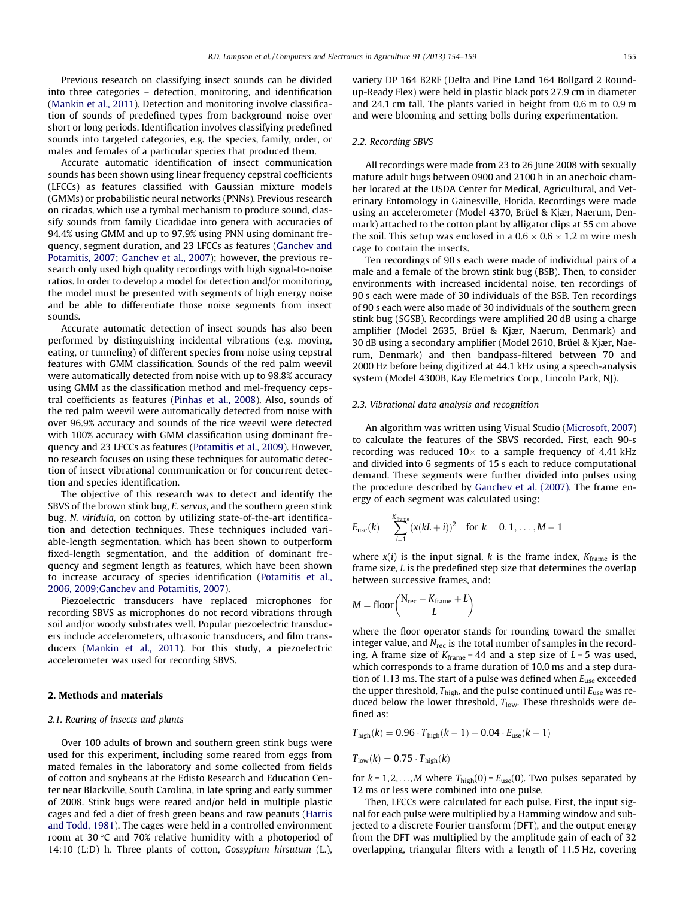Previous research on classifying insect sounds can be divided into three categories – detection, monitoring, and identification ([Mankin et al., 2011\)](#page-5-0). Detection and monitoring involve classification of sounds of predefined types from background noise over short or long periods. Identification involves classifying predefined sounds into targeted categories, e.g. the species, family, order, or males and females of a particular species that produced them.

Accurate automatic identification of insect communication sounds has been shown using linear frequency cepstral coefficients (LFCCs) as features classified with Gaussian mixture models (GMMs) or probabilistic neural networks (PNNs). Previous research on cicadas, which use a tymbal mechanism to produce sound, classify sounds from family Cicadidae into genera with accuracies of 94.4% using GMM and up to 97.9% using PNN using dominant frequency, segment duration, and 23 LFCCs as features ([Ganchev and](#page-5-0) [Potamitis, 2007; Ganchev et al., 2007\)](#page-5-0); however, the previous research only used high quality recordings with high signal-to-noise ratios. In order to develop a model for detection and/or monitoring, the model must be presented with segments of high energy noise and be able to differentiate those noise segments from insect sounds.

Accurate automatic detection of insect sounds has also been performed by distinguishing incidental vibrations (e.g. moving, eating, or tunneling) of different species from noise using cepstral features with GMM classification. Sounds of the red palm weevil were automatically detected from noise with up to 98.8% accuracy using GMM as the classification method and mel-frequency cepstral coefficients as features [\(Pinhas et al., 2008](#page-5-0)). Also, sounds of the red palm weevil were automatically detected from noise with over 96.9% accuracy and sounds of the rice weevil were detected with 100% accuracy with GMM classification using dominant frequency and 23 LFCCs as features ([Potamitis et al., 2009](#page-5-0)). However, no research focuses on using these techniques for automatic detection of insect vibrational communication or for concurrent detection and species identification.

The objective of this research was to detect and identify the SBVS of the brown stink bug, E. servus, and the southern green stink bug, N. viridula, on cotton by utilizing state-of-the-art identification and detection techniques. These techniques included variable-length segmentation, which has been shown to outperform fixed-length segmentation, and the addition of dominant frequency and segment length as features, which have been shown to increase accuracy of species identification [\(Potamitis et al.,](#page-5-0) [2006, 2009;Ganchev and Potamitis, 2007\)](#page-5-0).

Piezoelectric transducers have replaced microphones for recording SBVS as microphones do not record vibrations through soil and/or woody substrates well. Popular piezoelectric transducers include accelerometers, ultrasonic transducers, and film transducers [\(Mankin et al., 2011\)](#page-5-0). For this study, a piezoelectric accelerometer was used for recording SBVS.

## 2. Methods and materials

## 2.1. Rearing of insects and plants

Over 100 adults of brown and southern green stink bugs were used for this experiment, including some reared from eggs from mated females in the laboratory and some collected from fields of cotton and soybeans at the Edisto Research and Education Center near Blackville, South Carolina, in late spring and early summer of 2008. Stink bugs were reared and/or held in multiple plastic cages and fed a diet of fresh green beans and raw peanuts [\(Harris](#page-5-0) [and Todd, 1981](#page-5-0)). The cages were held in a controlled environment room at 30 °C and 70% relative humidity with a photoperiod of 14:10 (L:D) h. Three plants of cotton, Gossypium hirsutum (L.), variety DP 164 B2RF (Delta and Pine Land 164 Bollgard 2 Roundup-Ready Flex) were held in plastic black pots 27.9 cm in diameter and 24.1 cm tall. The plants varied in height from 0.6 m to 0.9 m and were blooming and setting bolls during experimentation.

## 2.2. Recording SBVS

All recordings were made from 23 to 26 June 2008 with sexually mature adult bugs between 0900 and 2100 h in an anechoic chamber located at the USDA Center for Medical, Agricultural, and Veterinary Entomology in Gainesville, Florida. Recordings were made using an accelerometer (Model 4370, Brüel & Kjær, Naerum, Denmark) attached to the cotton plant by alligator clips at 55 cm above the soil. This setup was enclosed in a 0.6  $\times$  0.6  $\times$  1.2 m wire mesh cage to contain the insects.

Ten recordings of 90 s each were made of individual pairs of a male and a female of the brown stink bug (BSB). Then, to consider environments with increased incidental noise, ten recordings of 90 s each were made of 30 individuals of the BSB. Ten recordings of 90 s each were also made of 30 individuals of the southern green stink bug (SGSB). Recordings were amplified 20 dB using a charge amplifier (Model 2635, Brüel & Kjær, Naerum, Denmark) and 30 dB using a secondary amplifier (Model 2610, Brüel & Kjær, Naerum, Denmark) and then bandpass-filtered between 70 and 2000 Hz before being digitized at 44.1 kHz using a speech-analysis system (Model 4300B, Kay Elemetrics Corp., Lincoln Park, NJ).

## 2.3. Vibrational data analysis and recognition

An algorithm was written using Visual Studio ([Microsoft, 2007\)](#page-5-0) to calculate the features of the SBVS recorded. First, each 90-s recording was reduced 10 $\times$  to a sample frequency of 4.41 kHz and divided into 6 segments of 15 s each to reduce computational demand. These segments were further divided into pulses using the procedure described by [Ganchev et al. \(2007\).](#page-5-0) The frame energy of each segment was calculated using:

$$
E_{use}(k) = \sum_{i=1}^{K_{frame}} (x(kL + i))^2 \text{ for } k = 0, 1, ..., M - 1
$$

where  $x(i)$  is the input signal, k is the frame index,  $K_{frame}$  is the frame size, L is the predefined step size that determines the overlap between successive frames, and:

$$
M = floor\left(\frac{N_{rec} - K_{frame} + L}{L}\right)
$$

where the floor operator stands for rounding toward the smaller integer value, and  $N_{\text{rec}}$  is the total number of samples in the recording. A frame size of  $K_{\text{frame}} = 44$  and a step size of  $L = 5$  was used, which corresponds to a frame duration of 10.0 ms and a step duration of 1.13 ms. The start of a pulse was defined when  $E_{use}$  exceeded the upper threshold,  $T_{\text{high}}$ , and the pulse continued until  $E_{\text{use}}$  was reduced below the lower threshold,  $T_{low}$ . These thresholds were defined as:

$$
T_{high}(k) = 0.96 \cdot T_{high}(k-1) + 0.04 \cdot E_{use}(k-1)
$$

$$
T_{\text{low}}(k) = 0.75 \cdot T_{\text{high}}(k)
$$

for  $k = 1, 2, \ldots, M$  where  $T_{\text{high}}(0) = E_{\text{use}}(0)$ . Two pulses separated by 12 ms or less were combined into one pulse.

Then, LFCCs were calculated for each pulse. First, the input signal for each pulse were multiplied by a Hamming window and subjected to a discrete Fourier transform (DFT), and the output energy from the DFT was multiplied by the amplitude gain of each of 32 overlapping, triangular filters with a length of 11.5 Hz, covering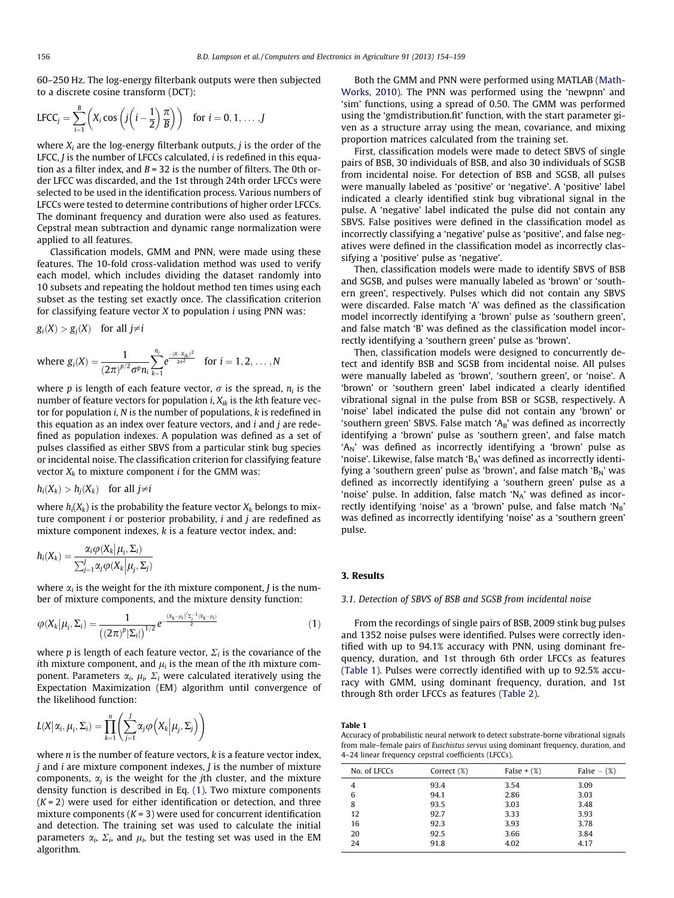60–250 Hz. The log-energy filterbank outputs were then subjected to a discrete cosine transform (DCT):

$$
LFCC_j = \sum_{i=1}^B \left( X_i \cos \left( j \left( i - \frac{1}{2} \right) \frac{\pi}{B} \right) \right) \text{ for } i = 0, 1, \ldots, J
$$

where  $X_i$  are the log-energy filterbank outputs, *j* is the order of the LFCC, *J* is the number of LFCCs calculated, *i* is redefined in this equation as a filter index, and  $B = 32$  is the number of filters. The 0th order LFCC was discarded, and the 1st through 24th order LFCCs were selected to be used in the identification process. Various numbers of LFCCs were tested to determine contributions of higher order LFCCs. The dominant frequency and duration were also used as features. Cepstral mean subtraction and dynamic range normalization were applied to all features.

Classification models, GMM and PNN, were made using these features. The 10-fold cross-validation method was used to verify each model, which includes dividing the dataset randomly into 10 subsets and repeating the holdout method ten times using each subset as the testing set exactly once. The classification criterion for classifying feature vector  $X$  to population  $i$  using PNN was:

$$
g_i(X) > g_j(X) \quad \text{for all } j \neq i
$$

where 
$$
g_i(X) = \frac{1}{(2\pi)^{p/2} \sigma^p n_i} \sum_{k=1}^{n_i} e^{\frac{-\|X-X_{ik}\|^2}{2\sigma^2}}
$$
 for  $i = 1, 2, ..., N$ 

where p is length of each feature vector,  $\sigma$  is the spread,  $n_i$  is the number of feature vectors for population *i*,  $X_{ik}$  is the kth feature vector for population i, N is the number of populations, k is redefined in this equation as an index over feature vectors, and  $i$  and  $j$  are redefined as population indexes. A population was defined as a set of pulses classified as either SBVS from a particular stink bug species or incidental noise. The classification criterion for classifying feature vector  $X_k$  to mixture component *i* for the GMM was:

$$
h_i(X_k) > h_j(X_k) \quad \text{for all } j \neq i
$$

where  $h_i(X_k)$  is the probability the feature vector  $X_k$  belongs to mixture component  $i$  or posterior probability,  $i$  and  $j$  are redefined as mixture component indexes, k is a feature vector index, and:

$$
h_i(X_k) = \frac{\alpha_i \varphi(X_k | \mu_i, \Sigma_i)}{\sum_{j=1}^J \alpha_j \varphi(X_k | \mu_j, \Sigma_j)}
$$

**College** 

where  $\alpha_i$  is the weight for the *i*th mixture component, *J* is the number of mixture components, and the mixture density function:

$$
\varphi(X_k|\mu_i, \Sigma_i) = \frac{1}{\left((2\pi)^p |\Sigma_i|\right)^{1/2}} e^{-\frac{(X_k - \mu_i)' \Sigma_i^{-1} (X_k - \mu_i)}{2}} \tag{1}
$$

where p is length of each feature vector,  $\Sigma_i$  is the covariance of the ith mixture component, and  $\mu_i$  is the mean of the ith mixture component. Parameters  $\alpha_i$ ,  $\mu_i$ ,  $\Sigma_i$  were calculated iteratively using the Expectation Maximization (EM) algorithm until convergence of the likelihood function:

$$
L(X|\alpha_i, \mu_i, \Sigma_i) = \prod_{k=1}^n \left( \sum_{j=1}^J \alpha_j \varphi\left(X_k | \mu_j, \Sigma_j\right) \right)
$$

where  $n$  is the number of feature vectors,  $k$  is a feature vector index,  $j$  and  $i$  are mixture component indexes,  $J$  is the number of mixture components,  $\alpha_i$  is the weight for the *j*th cluster, and the mixture density function is described in Eq. (1). Two mixture components  $(K = 2)$  were used for either identification or detection, and three mixture components  $(K = 3)$  were used for concurrent identification and detection. The training set was used to calculate the initial parameters  $\alpha_i$ ,  $\Sigma_i$ , and  $\mu_i$ , but the testing set was used in the EM algorithm.

Both the GMM and PNN were performed using MATLAB ([Math-](#page-5-0)[Works, 2010\)](#page-5-0). The PNN was performed using the 'newpnn' and 'sim' functions, using a spread of 0.50. The GMM was performed using the 'gmdistribution.fit' function, with the start parameter given as a structure array using the mean, covariance, and mixing proportion matrices calculated from the training set.

First, classification models were made to detect SBVS of single pairs of BSB, 30 individuals of BSB, and also 30 individuals of SGSB from incidental noise. For detection of BSB and SGSB, all pulses were manually labeled as 'positive' or 'negative'. A 'positive' label indicated a clearly identified stink bug vibrational signal in the pulse. A 'negative' label indicated the pulse did not contain any SBVS. False positives were defined in the classification model as incorrectly classifying a 'negative' pulse as 'positive', and false negatives were defined in the classification model as incorrectly classifying a 'positive' pulse as 'negative'.

Then, classification models were made to identify SBVS of BSB and SGSB, and pulses were manually labeled as 'brown' or 'southern green', respectively. Pulses which did not contain any SBVS were discarded. False match 'A' was defined as the classification model incorrectly identifying a 'brown' pulse as 'southern green', and false match 'B' was defined as the classification model incorrectly identifying a 'southern green' pulse as 'brown'.

Then, classification models were designed to concurrently detect and identify BSB and SGSB from incidental noise. All pulses were manually labeled as 'brown', 'southern green', or 'noise'. A 'brown' or 'southern green' label indicated a clearly identified vibrational signal in the pulse from BSB or SGSB, respectively. A 'noise' label indicated the pulse did not contain any 'brown' or 'southern green' SBVS. False match ' $A_B$ ' was defined as incorrectly identifying a 'brown' pulse as 'southern green', and false match 'A<sub>N</sub>' was defined as incorrectly identifying a 'brown' pulse as 'noise'. Likewise, false match 'BA' was defined as incorrectly identifying a 'southern green' pulse as 'brown', and false match ' $B_N$ ' was defined as incorrectly identifying a 'southern green' pulse as a 'noise' pulse. In addition, false match ' $N_A$ ' was defined as incorrectly identifying 'noise' as a 'brown' pulse, and false match ' $N_B$ ' was defined as incorrectly identifying 'noise' as a 'southern green' pulse.

## 3. Results

## 3.1. Detection of SBVS of BSB and SGSB from incidental noise

From the recordings of single pairs of BSB, 2009 stink bug pulses and 1352 noise pulses were identified. Pulses were correctly identified with up to 94.1% accuracy with PNN, using dominant frequency, duration, and 1st through 6th order LFCCs as features (Table 1). Pulses were correctly identified with up to 92.5% accuracy with GMM, using dominant frequency, duration, and 1st through 8th order LFCCs as features [\(Table 2\)](#page-3-0).

#### Table 1

Accuracy of probabilistic neural network to detect substrate-borne vibrational signals from male–female pairs of Euschistus servus using dominant frequency, duration, and 4–24 linear frequency cepstral coefficients (LFCCs).

| No. of LFCCs | Correct (%) |      | False $ (\%)$ |  |
|--------------|-------------|------|---------------|--|
| 4            | 93.4        | 3.54 | 3.09          |  |
| 6            | 94.1        | 2.86 | 3.03          |  |
| 8            | 93.5        | 3.03 | 3.48          |  |
| 12           | 92.7        | 3.33 | 3.93          |  |
| 16           | 92.3        | 3.93 | 3.78          |  |
| 20           | 92.5        | 3.66 | 3.84          |  |
| 24           | 91.8        | 4.02 | 4.17          |  |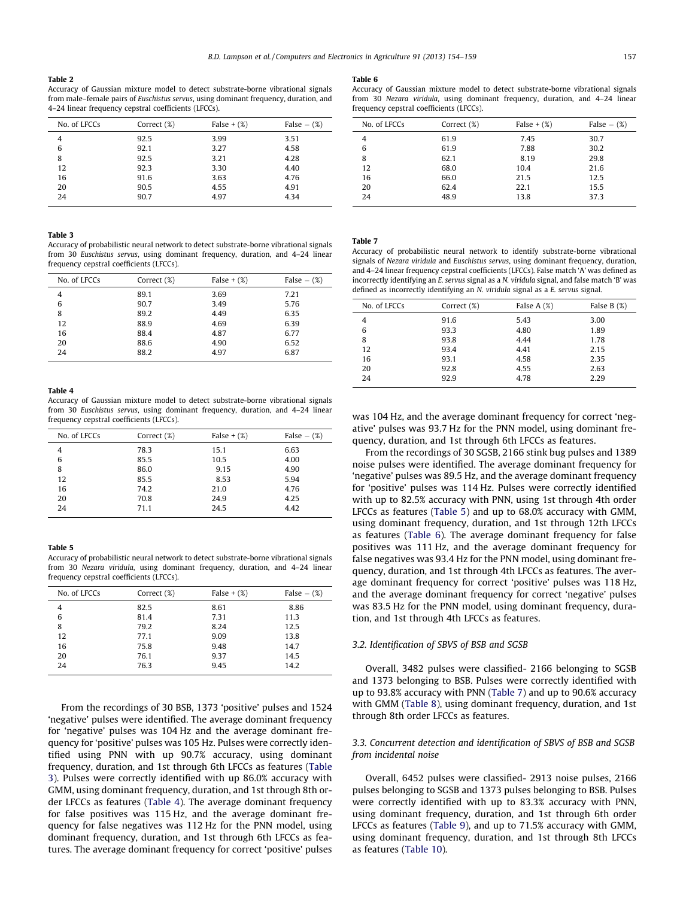#### <span id="page-3-0"></span>Table 2

Accuracy of Gaussian mixture model to detect substrate-borne vibrational signals from male–female pairs of Euschistus servus, using dominant frequency, duration, and 4–24 linear frequency cepstral coefficients (LFCCs).

| No. of LFCCs | Correct (%) | False $+$ $(\%)$ | False $ (\%)$ |
|--------------|-------------|------------------|---------------|
| 4            | 92.5        | 3.99             | 3.51          |
| 6            | 92.1        | 3.27             | 4.58          |
| 8            | 92.5        | 3.21             | 4.28          |
| 12           | 92.3        | 3.30             | 4.40          |
| 16           | 91.6        | 3.63             | 4.76          |
| 20           | 90.5        | 4.55             | 4.91          |
| 24           | 90.7        | 4.97             | 4.34          |

#### Table 3

Accuracy of probabilistic neural network to detect substrate-borne vibrational signals from 30 Euschistus servus, using dominant frequency, duration, and 4–24 linear frequency cepstral coefficients (LFCCs).

| No. of LECCs | Correct (%) | False $+$ $(\%)$ | False $ (\%)$ |
|--------------|-------------|------------------|---------------|
| 4            | 89.1        | 3.69             | 7.21          |
| 6            | 90.7        | 3.49             | 5.76          |
| 8            | 89.2        | 4.49             | 6.35          |
| 12           | 88.9        | 4.69             | 6.39          |
| 16           | 88.4        | 4.87             | 6.77          |
| 20           | 88.6        | 4.90             | 6.52          |
| 24           | 88.2        | 4.97             | 6.87          |

#### Table 4

Accuracy of Gaussian mixture model to detect substrate-borne vibrational signals from 30 Euschistus servus, using dominant frequency, duration, and 4–24 linear frequency cepstral coefficients (LFCCs).

| No. of LFCCs<br>Correct (%) |      | False $+(%)$ | False $ (\%)$ |  |
|-----------------------------|------|--------------|---------------|--|
| 4                           | 78.3 | 15.1         | 6.63          |  |
| 6                           | 85.5 | 10.5         | 4.00          |  |
| 8                           | 86.0 | 9.15         | 4.90          |  |
| 12                          | 85.5 | 8.53         | 5.94          |  |
| 16                          | 74.2 | 21.0         | 4.76          |  |
| 20                          | 70.8 | 24.9         | 4.25          |  |
| 24                          | 71.1 | 24.5         | 4.42          |  |

### Table 5

Accuracy of probabilistic neural network to detect substrate-borne vibrational signals from 30 Nezara viridula, using dominant frequency, duration, and 4–24 linear frequency cepstral coefficients (LFCCs).

| No. of LFCCs | Correct (%) | False $+$ $(\%)$ | False $ (\%)$ |
|--------------|-------------|------------------|---------------|
| 4            | 82.5        | 8.61             | 8.86          |
| 6            | 81.4        | 7.31             | 11.3          |
| 8            | 79.2        | 8.24             | 12.5          |
| 12           | 77.1        | 9.09             | 13.8          |
| 16           | 75.8        | 9.48             | 14.7          |
| 20           | 76.1        | 9.37             | 14.5          |
| 24           | 76.3        | 9.45             | 14.2          |
|              |             |                  |               |

From the recordings of 30 BSB, 1373 'positive' pulses and 1524 'negative' pulses were identified. The average dominant frequency for 'negative' pulses was 104 Hz and the average dominant frequency for 'positive' pulses was 105 Hz. Pulses were correctly identified using PNN with up 90.7% accuracy, using dominant frequency, duration, and 1st through 6th LFCCs as features (Table 3). Pulses were correctly identified with up 86.0% accuracy with GMM, using dominant frequency, duration, and 1st through 8th order LFCCs as features (Table 4). The average dominant frequency for false positives was 115 Hz, and the average dominant frequency for false negatives was 112 Hz for the PNN model, using dominant frequency, duration, and 1st through 6th LFCCs as features. The average dominant frequency for correct 'positive' pulses

#### Table 6

Accuracy of Gaussian mixture model to detect substrate-borne vibrational signals from 30 Nezara viridula, using dominant frequency, duration, and 4–24 linear frequency cepstral coefficients (LFCCs).

| No. of LFCCs | Correct (%) | False $+(%)$ | False $ (\%)$ |
|--------------|-------------|--------------|---------------|
| 4            | 61.9        | 7.45         | 30.7          |
| 6            | 61.9        | 7.88         | 30.2          |
| 8            | 62.1        | 8.19         | 29.8          |
| 12           | 68.0        | 10.4         | 21.6          |
| 16           | 66.0        | 21.5         | 12.5          |
| 20           | 62.4        | 22.1         | 15.5          |
| 24           | 48.9        | 13.8         | 37.3          |
|              |             |              |               |

Table 7

Accuracy of probabilistic neural network to identify substrate-borne vibrational signals of Nezara viridula and Euschistus servus, using dominant frequency, duration, and 4–24 linear frequency cepstral coefficients (LFCCs). False match 'A' was defined as incorrectly identifying an E. servus signal as a N. viridula signal, and false match 'B' was defined as incorrectly identifying an N. viridula signal as a E. servus signal.

| No. of LFCCs | Correct (%) | False $A(x)$ | False B $(\%)$ |  |
|--------------|-------------|--------------|----------------|--|
| 4            | 91.6        | 5.43         | 3.00           |  |
| 6            | 93.3        | 4.80         | 1.89           |  |
| 8            | 93.8        | 4.44         | 1.78           |  |
| 12           | 93.4        | 4.41         | 2.15           |  |
| 16           | 93.1        | 4.58         | 2.35           |  |
| 20           | 92.8        | 4.55         | 2.63           |  |
| 24           | 92.9        | 4.78         | 2.29           |  |

was 104 Hz, and the average dominant frequency for correct 'negative' pulses was 93.7 Hz for the PNN model, using dominant frequency, duration, and 1st through 6th LFCCs as features.

From the recordings of 30 SGSB, 2166 stink bug pulses and 1389 noise pulses were identified. The average dominant frequency for 'negative' pulses was 89.5 Hz, and the average dominant frequency for 'positive' pulses was 114 Hz. Pulses were correctly identified with up to 82.5% accuracy with PNN, using 1st through 4th order LFCCs as features (Table 5) and up to 68.0% accuracy with GMM, using dominant frequency, duration, and 1st through 12th LFCCs as features (Table 6). The average dominant frequency for false positives was 111 Hz, and the average dominant frequency for false negatives was 93.4 Hz for the PNN model, using dominant frequency, duration, and 1st through 4th LFCCs as features. The average dominant frequency for correct 'positive' pulses was 118 Hz, and the average dominant frequency for correct 'negative' pulses was 83.5 Hz for the PNN model, using dominant frequency, duration, and 1st through 4th LFCCs as features.

#### 3.2. Identification of SBVS of BSB and SGSB

Overall, 3482 pulses were classified- 2166 belonging to SGSB and 1373 belonging to BSB. Pulses were correctly identified with up to 93.8% accuracy with PNN (Table 7) and up to 90.6% accuracy with GMM [\(Table 8\)](#page-4-0), using dominant frequency, duration, and 1st through 8th order LFCCs as features.

## 3.3. Concurrent detection and identification of SBVS of BSB and SGSB from incidental noise

Overall, 6452 pulses were classified- 2913 noise pulses, 2166 pulses belonging to SGSB and 1373 pulses belonging to BSB. Pulses were correctly identified with up to 83.3% accuracy with PNN, using dominant frequency, duration, and 1st through 6th order LFCCs as features [\(Table 9](#page-4-0)), and up to 71.5% accuracy with GMM, using dominant frequency, duration, and 1st through 8th LFCCs as features [\(Table 10\)](#page-4-0).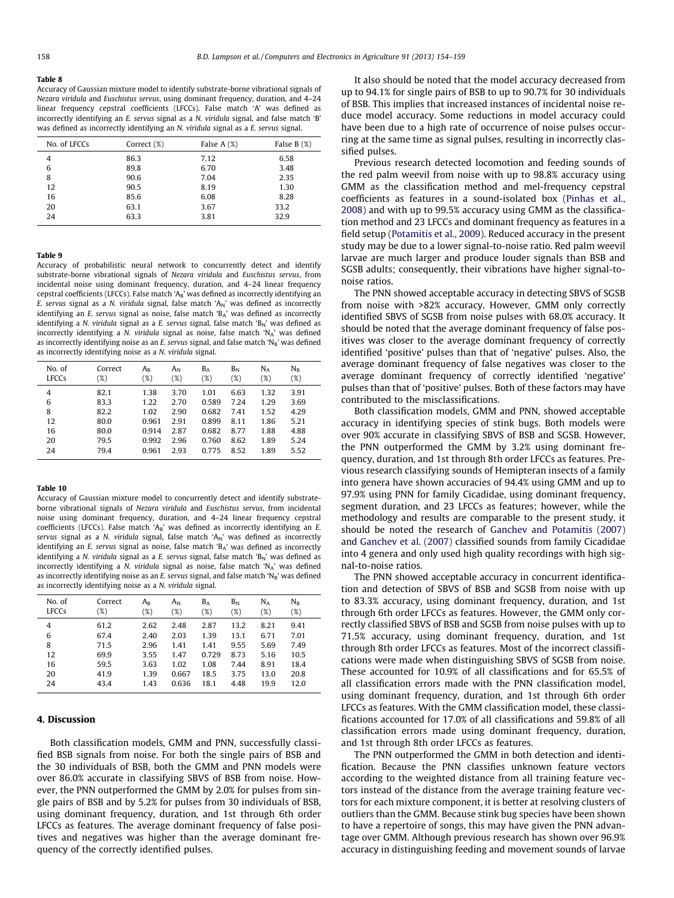#### <span id="page-4-0"></span>Table 8

Accuracy of Gaussian mixture model to identify substrate-borne vibrational signals of Nezara viridula and Euschistus servus, using dominant frequency, duration, and 4–24 linear frequency cepstral coefficients (LFCCs). False match 'A' was defined as incorrectly identifying an E. servus signal as a N. viridula signal, and false match 'B' was defined as incorrectly identifying an N. viridula signal as a E. servus signal.

| No. of LFCCs | Correct (%) | False $A(\%)$ | False $B(\%)$ |
|--------------|-------------|---------------|---------------|
| 4            | 86.3        | 7.12          | 6.58          |
| 6            | 89.8        | 6.70          | 3.48          |
| 8            | 90.6        | 7.04          | 2.35          |
| 12           | 90.5        | 8.19          | 1.30          |
| 16           | 85.6        | 6.08          | 8.28          |
| 20           | 63.1        | 3.67          | 33.2          |
| 24           | 63.3        | 3.81          | 32.9          |
|              |             |               |               |

#### Table 9

Accuracy of probabilistic neural network to concurrently detect and identify substrate-borne vibrational signals of Nezara viridula and Euschistus servus, from incidental noise using dominant frequency, duration, and 4–24 linear frequency cepstral coefficients (LFCCs). False match 'AB' was defined as incorrectly identifying an E. servus signal as a N. viridula signal, false match 'A<sub>N</sub>' was defined as incorrectly identifying an E. servus signal as noise, false match 'BA' was defined as incorrectly identifying a N. viridula signal as a E. servus signal, false match 'B<sub>N</sub>' was defined as incorrectly identifying a N. viridula signal as noise, false match ' $N_A$ ' was defined as incorrectly identifying noise as an E. servus signal, and false match  $N_B'$  was defined as incorrectly identifying noise as a N. viridula signal.

| Correct<br>(%) | $A_{B}$<br>$(\%)$ | $A_N$<br>$(\%)$ | $B_A$<br>$(\%)$ | $B_N$<br>(%) | $N_A$<br>(%) | $N_{B}$<br>(%) |
|----------------|-------------------|-----------------|-----------------|--------------|--------------|----------------|
| 82.1           | 1.38              | 3.70            | 1.01            | 6.63         | 1.32         | 3.91           |
| 83.3           | 1.22              | 2.70            | 0.589           | 7.24         | 1.29         | 3.69           |
| 82.2           | 1.02              | 2.90            | 0.682           | 7.41         | 1.52         | 4.29           |
| 80.0           | 0.961             | 2.91            | 0.899           | 8.11         | 1.86         | 5.21           |
| 80.0           | 0.914             | 2.87            | 0.682           | 8.77         | 1.88         | 4.88           |
| 79.5           | 0.992             | 2.96            | 0.760           | 8.62         | 1.89         | 5.24           |
| 79.4           | 0.961             | 2.93            | 0.775           | 8.52         | 1.89         | 5.52           |
|                |                   |                 |                 |              |              |                |

#### Table 10

Accuracy of Gaussian mixture model to concurrently detect and identify substrateborne vibrational signals of Nezara viridula and Euschistus servus, from incidental noise using dominant frequency, duration, and 4–24 linear frequency cepstral coefficients (LFCCs). False match 'A<sub>B</sub>' was defined as incorrectly identifying an  $E$ . servus signal as a N. viridula signal, false match 'A<sub>N</sub>' was defined as incorrectly identifying an E. servus signal as noise, false match 'BA' was defined as incorrectly identifying a N. viridula signal as a E. servus signal, false match 'B<sub>N</sub>' was defined as incorrectly identifying a N. viridula signal as noise, false match 'N<sub>a</sub>' was defined as incorrectly identifying noise as an E. servus signal, and false match  $N_B'$  was defined as incorrectly identifying noise as a N. viridula signal.

| No. of | Correct | $A_{\rm B}$ | $A_N$  | $B_A$  | $B_N$ | $N_A$  | $N_{B}$ |
|--------|---------|-------------|--------|--------|-------|--------|---------|
| LFCCs  | '%)     | $(\%)$      | $(\%)$ | $(\%)$ | (%)   | $(\%)$ | $(\%)$  |
| 4      | 61.2    | 2.62        | 2.48   | 2.87   | 13.2  | 8.21   | 9.41    |
| 6      | 67.4    | 2.40        | 2.03   | 1.39   | 13.1  | 6.71   | 7.01    |
| 8      | 71.5    | 2.96        | 1.41   | 1.41   | 9.55  | 5.69   | 7.49    |
| 12     | 69.9    | 3.55        | 1.47   | 0.729  | 8.73  | 5.16   | 10.5    |
| 16     | 59.5    | 3.63        | 1.02   | 1.08   | 7.44  | 8.91   | 18.4    |
| 20     | 41.9    | 1.39        | 0.667  | 18.5   | 3.75  | 13.0   | 20.8    |
| 24     | 43.4    | 1.43        | 0.636  | 18.1   | 4.48  | 19.9   | 12.0    |

## 4. Discussion

Both classification models, GMM and PNN, successfully classified BSB signals from noise. For both the single pairs of BSB and the 30 individuals of BSB, both the GMM and PNN models were over 86.0% accurate in classifying SBVS of BSB from noise. However, the PNN outperformed the GMM by 2.0% for pulses from single pairs of BSB and by 5.2% for pulses from 30 individuals of BSB, using dominant frequency, duration, and 1st through 6th order LFCCs as features. The average dominant frequency of false positives and negatives was higher than the average dominant frequency of the correctly identified pulses.

It also should be noted that the model accuracy decreased from up to 94.1% for single pairs of BSB to up to 90.7% for 30 individuals of BSB. This implies that increased instances of incidental noise reduce model accuracy. Some reductions in model accuracy could have been due to a high rate of occurrence of noise pulses occurring at the same time as signal pulses, resulting in incorrectly classified pulses.

Previous research detected locomotion and feeding sounds of the red palm weevil from noise with up to 98.8% accuracy using GMM as the classification method and mel-frequency cepstral coefficients as features in a sound-isolated box ([Pinhas et al.,](#page-5-0) [2008\)](#page-5-0) and with up to 99.5% accuracy using GMM as the classification method and 23 LFCCs and dominant frequency as features in a field setup [\(Potamitis et al., 2009\)](#page-5-0). Reduced accuracy in the present study may be due to a lower signal-to-noise ratio. Red palm weevil larvae are much larger and produce louder signals than BSB and SGSB adults; consequently, their vibrations have higher signal-tonoise ratios.

The PNN showed acceptable accuracy in detecting SBVS of SGSB from noise with >82% accuracy. However, GMM only correctly identified SBVS of SGSB from noise pulses with 68.0% accuracy. It should be noted that the average dominant frequency of false positives was closer to the average dominant frequency of correctly identified 'positive' pulses than that of 'negative' pulses. Also, the average dominant frequency of false negatives was closer to the average dominant frequency of correctly identified 'negative' pulses than that of 'positive' pulses. Both of these factors may have contributed to the misclassifications.

Both classification models, GMM and PNN, showed acceptable accuracy in identifying species of stink bugs. Both models were over 90% accurate in classifying SBVS of BSB and SGSB. However, the PNN outperformed the GMM by 3.2% using dominant frequency, duration, and 1st through 8th order LFCCs as features. Previous research classifying sounds of Hemipteran insects of a family into genera have shown accuracies of 94.4% using GMM and up to 97.9% using PNN for family Cicadidae, using dominant frequency, segment duration, and 23 LFCCs as features; however, while the methodology and results are comparable to the present study, it should be noted the research of [Ganchev and Potamitis \(2007\)](#page-5-0) and [Ganchev et al. \(2007\)](#page-5-0) classified sounds from family Cicadidae into 4 genera and only used high quality recordings with high signal-to-noise ratios.

The PNN showed acceptable accuracy in concurrent identification and detection of SBVS of BSB and SGSB from noise with up to 83.3% accuracy, using dominant frequency, duration, and 1st through 6th order LFCCs as features. However, the GMM only correctly classified SBVS of BSB and SGSB from noise pulses with up to 71.5% accuracy, using dominant frequency, duration, and 1st through 8th order LFCCs as features. Most of the incorrect classifications were made when distinguishing SBVS of SGSB from noise. These accounted for 10.9% of all classifications and for 65.5% of all classification errors made with the PNN classification model, using dominant frequency, duration, and 1st through 6th order LFCCs as features. With the GMM classification model, these classifications accounted for 17.0% of all classifications and 59.8% of all classification errors made using dominant frequency, duration, and 1st through 8th order LFCCs as features.

The PNN outperformed the GMM in both detection and identification. Because the PNN classifies unknown feature vectors according to the weighted distance from all training feature vectors instead of the distance from the average training feature vectors for each mixture component, it is better at resolving clusters of outliers than the GMM. Because stink bug species have been shown to have a repertoire of songs, this may have given the PNN advantage over GMM. Although previous research has shown over 96.9% accuracy in distinguishing feeding and movement sounds of larvae